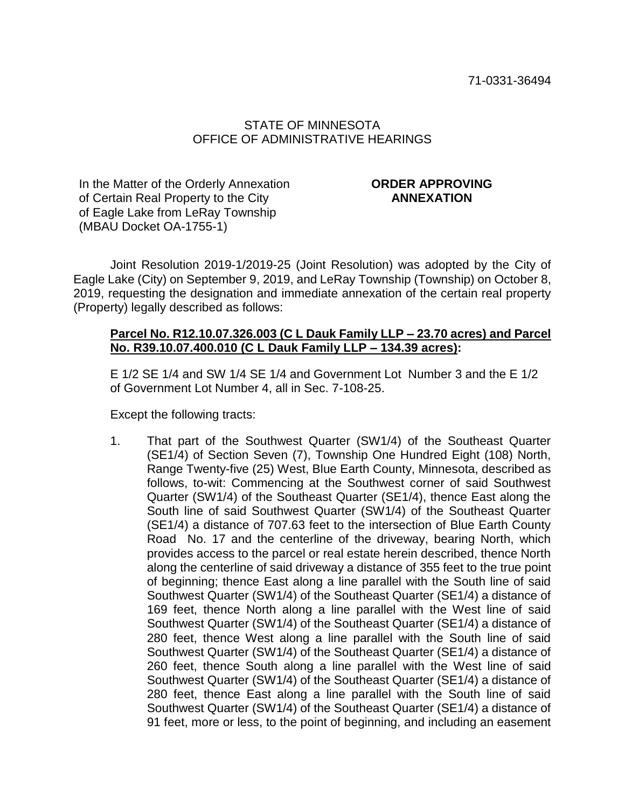# STATE OF MINNESOTA OFFICE OF ADMINISTRATIVE HEARINGS

In the Matter of the Orderly Annexation of Certain Real Property to the City of Eagle Lake from LeRay Township (MBAU Docket OA-1755-1)

# **ORDER APPROVING ANNEXATION**

Joint Resolution 2019-1/2019-25 (Joint Resolution) was adopted by the City of Eagle Lake (City) on September 9, 2019, and LeRay Township (Township) on October 8, 2019, requesting the designation and immediate annexation of the certain real property (Property) legally described as follows:

## **Parcel No. R12.10.07.326.003 (C L Dauk Family LLP – 23.70 acres) and Parcel No. R39.10.07.400.010 (C L Dauk Family LLP – 134.39 acres):**

E 1/2 SE 1/4 and SW 1/4 SE 1/4 and Government Lot Number 3 and the E 1/2 of Government Lot Number 4, all in Sec. 7-108-25.

Except the following tracts:

1. That part of the Southwest Quarter (SW1/4) of the Southeast Quarter (SE1/4) of Section Seven (7), Township One Hundred Eight (108) North, Range Twenty-five (25) West, Blue Earth County, Minnesota, described as follows, to-wit: Commencing at the Southwest corner of said Southwest Quarter (SW1/4) of the Southeast Quarter (SE1/4), thence East along the South line of said Southwest Quarter (SW1/4) of the Southeast Quarter (SE1/4) a distance of 707.63 feet to the intersection of Blue Earth County Road No. 17 and the centerline of the driveway, bearing North, which provides access to the parcel or real estate herein described, thence North along the centerline of said driveway a distance of 355 feet to the true point of beginning; thence East along a line parallel with the South line of said Southwest Quarter (SW1/4) of the Southeast Quarter (SE1/4) a distance of 169 feet, thence North along a line parallel with the West line of said Southwest Quarter (SW1/4) of the Southeast Quarter (SE1/4) a distance of 280 feet, thence West along a line parallel with the South line of said Southwest Quarter (SW1/4) of the Southeast Quarter (SE1/4) a distance of 260 feet, thence South along a line parallel with the West line of said Southwest Quarter (SW1/4) of the Southeast Quarter (SE1/4) a distance of 280 feet, thence East along a line parallel with the South line of said Southwest Quarter (SW1/4) of the Southeast Quarter (SE1/4) a distance of 91 feet, more or less, to the point of beginning, and including an easement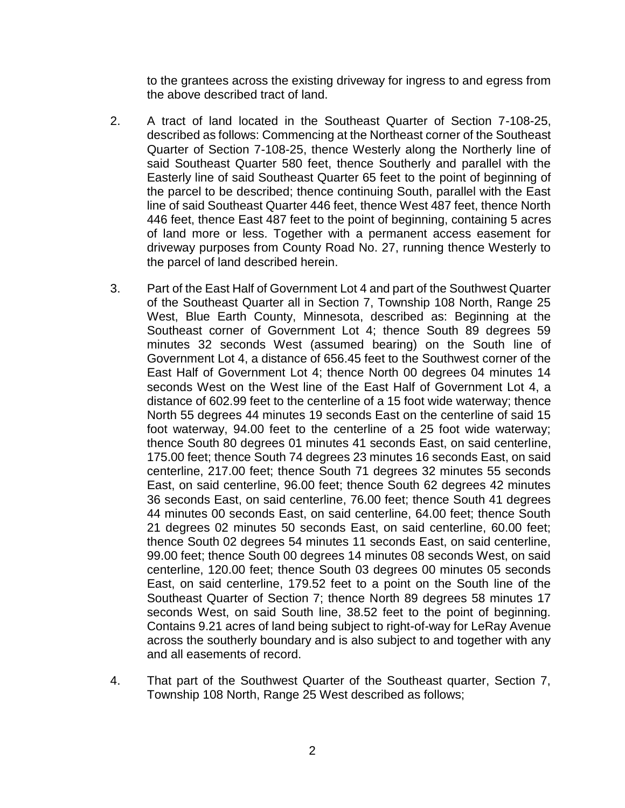to the grantees across the existing driveway for ingress to and egress from the above described tract of land.

- 2. A tract of land located in the Southeast Quarter of Section 7-108-25, described as follows: Commencing at the Northeast corner of the Southeast Quarter of Section 7-108-25, thence Westerly along the Northerly line of said Southeast Quarter 580 feet, thence Southerly and parallel with the Easterly line of said Southeast Quarter 65 feet to the point of beginning of the parcel to be described; thence continuing South, parallel with the East line of said Southeast Quarter 446 feet, thence West 487 feet, thence North 446 feet, thence East 487 feet to the point of beginning, containing 5 acres of land more or less. Together with a permanent access easement for driveway purposes from County Road No. 27, running thence Westerly to the parcel of land described herein.
- 3. Part of the East Half of Government Lot 4 and part of the Southwest Quarter of the Southeast Quarter all in Section 7, Township 108 North, Range 25 West, Blue Earth County, Minnesota, described as: Beginning at the Southeast corner of Government Lot 4; thence South 89 degrees 59 minutes 32 seconds West (assumed bearing) on the South line of Government Lot 4, a distance of 656.45 feet to the Southwest corner of the East Half of Government Lot 4; thence North 00 degrees 04 minutes 14 seconds West on the West line of the East Half of Government Lot 4, a distance of 602.99 feet to the centerline of a 15 foot wide waterway; thence North 55 degrees 44 minutes 19 seconds East on the centerline of said 15 foot waterway, 94.00 feet to the centerline of a 25 foot wide waterway; thence South 80 degrees 01 minutes 41 seconds East, on said centerline, 175.00 feet; thence South 74 degrees 23 minutes 16 seconds East, on said centerline, 217.00 feet; thence South 71 degrees 32 minutes 55 seconds East, on said centerline, 96.00 feet; thence South 62 degrees 42 minutes 36 seconds East, on said centerline, 76.00 feet; thence South 41 degrees 44 minutes 00 seconds East, on said centerline, 64.00 feet; thence South 21 degrees 02 minutes 50 seconds East, on said centerline, 60.00 feet; thence South 02 degrees 54 minutes 11 seconds East, on said centerline, 99.00 feet; thence South 00 degrees 14 minutes 08 seconds West, on said centerline, 120.00 feet; thence South 03 degrees 00 minutes 05 seconds East, on said centerline, 179.52 feet to a point on the South line of the Southeast Quarter of Section 7; thence North 89 degrees 58 minutes 17 seconds West, on said South line, 38.52 feet to the point of beginning. Contains 9.21 acres of land being subject to right-of-way for LeRay Avenue across the southerly boundary and is also subject to and together with any and all easements of record.
- 4. That part of the Southwest Quarter of the Southeast quarter, Section 7, Township 108 North, Range 25 West described as follows;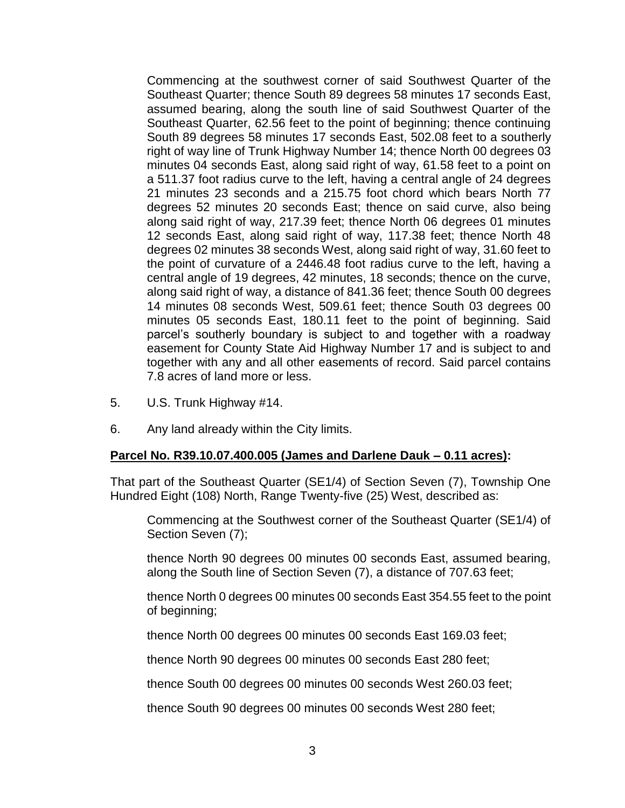Commencing at the southwest corner of said Southwest Quarter of the Southeast Quarter; thence South 89 degrees 58 minutes 17 seconds East, assumed bearing, along the south line of said Southwest Quarter of the Southeast Quarter, 62.56 feet to the point of beginning; thence continuing South 89 degrees 58 minutes 17 seconds East, 502.08 feet to a southerly right of way line of Trunk Highway Number 14; thence North 00 degrees 03 minutes 04 seconds East, along said right of way, 61.58 feet to a point on a 511.37 foot radius curve to the left, having a central angle of 24 degrees 21 minutes 23 seconds and a 215.75 foot chord which bears North 77 degrees 52 minutes 20 seconds East; thence on said curve, also being along said right of way, 217.39 feet; thence North 06 degrees 01 minutes 12 seconds East, along said right of way, 117.38 feet; thence North 48 degrees 02 minutes 38 seconds West, along said right of way, 31.60 feet to the point of curvature of a 2446.48 foot radius curve to the left, having a central angle of 19 degrees, 42 minutes, 18 seconds; thence on the curve, along said right of way, a distance of 841.36 feet; thence South 00 degrees 14 minutes 08 seconds West, 509.61 feet; thence South 03 degrees 00 minutes 05 seconds East, 180.11 feet to the point of beginning. Said parcel's southerly boundary is subject to and together with a roadway easement for County State Aid Highway Number 17 and is subject to and together with any and all other easements of record. Said parcel contains 7.8 acres of land more or less.

- 5. U.S. Trunk Highway #14.
- 6. Any land already within the City limits.

## **Parcel No. R39.10.07.400.005 (James and Darlene Dauk – 0.11 acres):**

That part of the Southeast Quarter (SE1/4) of Section Seven (7), Township One Hundred Eight (108) North, Range Twenty-five (25) West, described as:

Commencing at the Southwest corner of the Southeast Quarter (SE1/4) of Section Seven (7);

thence North 90 degrees 00 minutes 00 seconds East, assumed bearing, along the South line of Section Seven (7), a distance of 707.63 feet;

thence North 0 degrees 00 minutes 00 seconds East 354.55 feet to the point of beginning;

thence North 00 degrees 00 minutes 00 seconds East 169.03 feet;

thence North 90 degrees 00 minutes 00 seconds East 280 feet;

thence South 00 degrees 00 minutes 00 seconds West 260.03 feet;

thence South 90 degrees 00 minutes 00 seconds West 280 feet;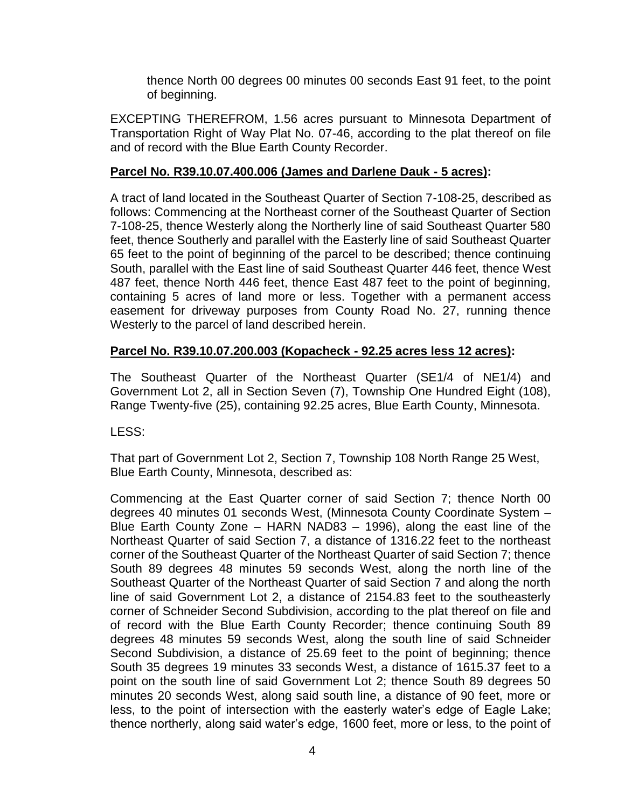thence North 00 degrees 00 minutes 00 seconds East 91 feet, to the point of beginning.

EXCEPTING THEREFROM, 1.56 acres pursuant to Minnesota Department of Transportation Right of Way Plat No. 07-46, according to the plat thereof on file and of record with the Blue Earth County Recorder.

## **Parcel No. R39.10.07.400.006 (James and Darlene Dauk - 5 acres):**

A tract of land located in the Southeast Quarter of Section 7-108-25, described as follows: Commencing at the Northeast corner of the Southeast Quarter of Section 7-108-25, thence Westerly along the Northerly line of said Southeast Quarter 580 feet, thence Southerly and parallel with the Easterly line of said Southeast Quarter 65 feet to the point of beginning of the parcel to be described; thence continuing South, parallel with the East line of said Southeast Quarter 446 feet, thence West 487 feet, thence North 446 feet, thence East 487 feet to the point of beginning, containing 5 acres of land more or less. Together with a permanent access easement for driveway purposes from County Road No. 27, running thence Westerly to the parcel of land described herein.

# **Parcel No. R39.10.07.200.003 (Kopacheck - 92.25 acres less 12 acres):**

The Southeast Quarter of the Northeast Quarter (SE1/4 of NE1/4) and Government Lot 2, all in Section Seven (7), Township One Hundred Eight (108), Range Twenty-five (25), containing 92.25 acres, Blue Earth County, Minnesota.

LESS:

That part of Government Lot 2, Section 7, Township 108 North Range 25 West, Blue Earth County, Minnesota, described as:

Commencing at the East Quarter corner of said Section 7; thence North 00 degrees 40 minutes 01 seconds West, (Minnesota County Coordinate System – Blue Earth County Zone – HARN NAD83 – 1996), along the east line of the Northeast Quarter of said Section 7, a distance of 1316.22 feet to the northeast corner of the Southeast Quarter of the Northeast Quarter of said Section 7; thence South 89 degrees 48 minutes 59 seconds West, along the north line of the Southeast Quarter of the Northeast Quarter of said Section 7 and along the north line of said Government Lot 2, a distance of 2154.83 feet to the southeasterly corner of Schneider Second Subdivision, according to the plat thereof on file and of record with the Blue Earth County Recorder; thence continuing South 89 degrees 48 minutes 59 seconds West, along the south line of said Schneider Second Subdivision, a distance of 25.69 feet to the point of beginning; thence South 35 degrees 19 minutes 33 seconds West, a distance of 1615.37 feet to a point on the south line of said Government Lot 2; thence South 89 degrees 50 minutes 20 seconds West, along said south line, a distance of 90 feet, more or less, to the point of intersection with the easterly water's edge of Eagle Lake; thence northerly, along said water's edge, 1600 feet, more or less, to the point of